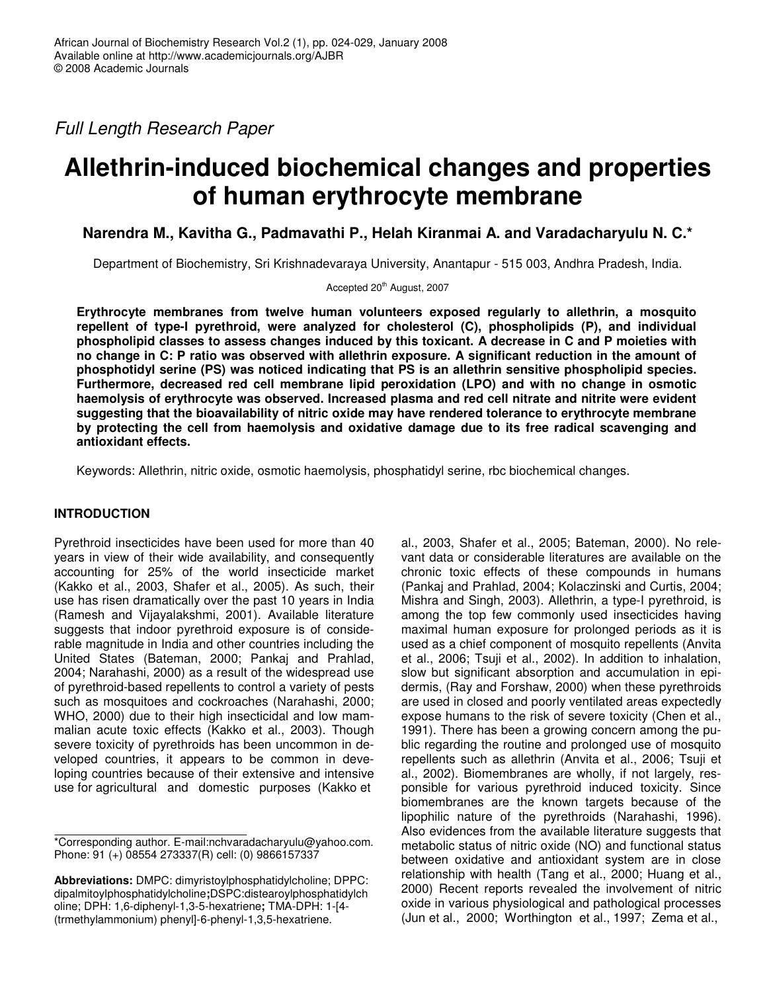*Full Length Research Paper*

# **Allethrin-induced biochemical changes and properties of human erythrocyte membrane**

**Narendra M., Kavitha G., Padmavathi P., Helah Kiranmai A. and Varadacharyulu N. C.\***

Department of Biochemistry, Sri Krishnadevaraya University, Anantapur - 515 003, Andhra Pradesh, India.

Accepted 20<sup>th</sup> August, 2007

**Erythrocyte membranes from twelve human volunteers exposed regularly to allethrin, a mosquito repellent of type-I pyrethroid, were analyzed for cholesterol (C), phospholipids (P), and individual phospholipid classes to assess changes induced by this toxicant. A decrease in C and P moieties with** no change in C: P ratio was observed with allethrin exposure. A significant reduction in the amount of **phosphotidyl serine (PS) was noticed indicating that PS is an allethrin sensitive phospholipid species. Furthermore, decreased red cell membrane lipid peroxidation (LPO) and with no change in osmotic haemolysis of erythrocyte was observed. Increased plasma and red cell nitrate and nitrite were evident suggesting that the bioavailability of nitric oxide may have rendered tolerance to erythrocyte membrane by protecting the cell from haemolysis and oxidative damage due to its free radical scavenging and antioxidant effects.**

Keywords: Allethrin, nitric oxide, osmotic haemolysis, phosphatidyl serine, rbc biochemical changes.

# **INTRODUCTION**

Pyrethroid insecticides have been used for more than 40 years in view of their wide availability, and consequently accounting for 25% of the world insecticide market (Kakko et al., 2003, Shafer et al., 2005). As such, their use has risen dramatically over the past 10 years in India (Ramesh and Vijayalakshmi, 2001). Available literature suggests that indoor pyrethroid exposure is of considerable magnitude in India and other countries including the United States (Bateman, 2000; Pankaj and Prahlad, 2004; Narahashi, 2000) as a result of the widespread use of pyrethroid-based repellents to control a variety of pests such as mosquitoes and cockroaches (Narahashi, 2000; WHO, 2000) due to their high insecticidal and low mammalian acute toxic effects (Kakko et al., 2003). Though severe toxicity of pyrethroids has been uncommon in developed countries, it appears to be common in developing countries because of their extensive and intensive use for agricultural and domestic purposes (Kakko et

al., 2003, Shafer et al., 2005; Bateman, 2000). No relevant data or considerable literatures are available on the chronic toxic effects of these compounds in humans (Pankaj and Prahlad, 2004; Kolaczinski and Curtis, 2004; Mishra and Singh, 2003). Allethrin, a type-I pyrethroid, is among the top few commonly used insecticides having maximal human exposure for prolonged periods as it is used as a chief component of mosquito repellents (Anvita et al., 2006; Tsuji et al., 2002). In addition to inhalation, slow but significant absorption and accumulation in epidermis, (Ray and Forshaw, 2000) when these pyrethroids are used in closed and poorly ventilated areas expectedly expose humans to the risk of severe toxicity (Chen et al., 1991). There has been a growing concern among the public regarding the routine and prolonged use of mosquito repellents such as allethrin (Anvita et al., 2006; Tsuji et al., 2002). Biomembranes are wholly, if not largely, responsible for various pyrethroid induced toxicity. Since biomembranes are the known targets because of the lipophilic nature of the pyrethroids (Narahashi, 1996). Also evidences from the available literature suggests that metabolic status of nitric oxide (NO) and functional status between oxidative and antioxidant system are in close relationship with health (Tang et al., 2000; Huang et al., 2000) Recent reports revealed the involvement of nitric oxide in various physiological and pathological processes (Jun et al., 2000; Worthington et al., 1997; Zema et al.,

<sup>\*</sup>Corresponding author. E-mail:nchvaradacharyulu@yahoo.com. Phone: 91 (+) 08554 273337(R) cell: (0) 9866157337

**Abbreviations:** DMPC: dimyristoylphosphatidylcholine; DPPC: dipalmitoylphosphatidylcholine**;**DSPC:distearoylphosphatidylch oline; DPH: 1,6-diphenyl-1,3-5-hexatriene**;** TMA-DPH: 1-[4- (trmethylammonium) phenyl]-6-phenyl-1,3,5-hexatriene.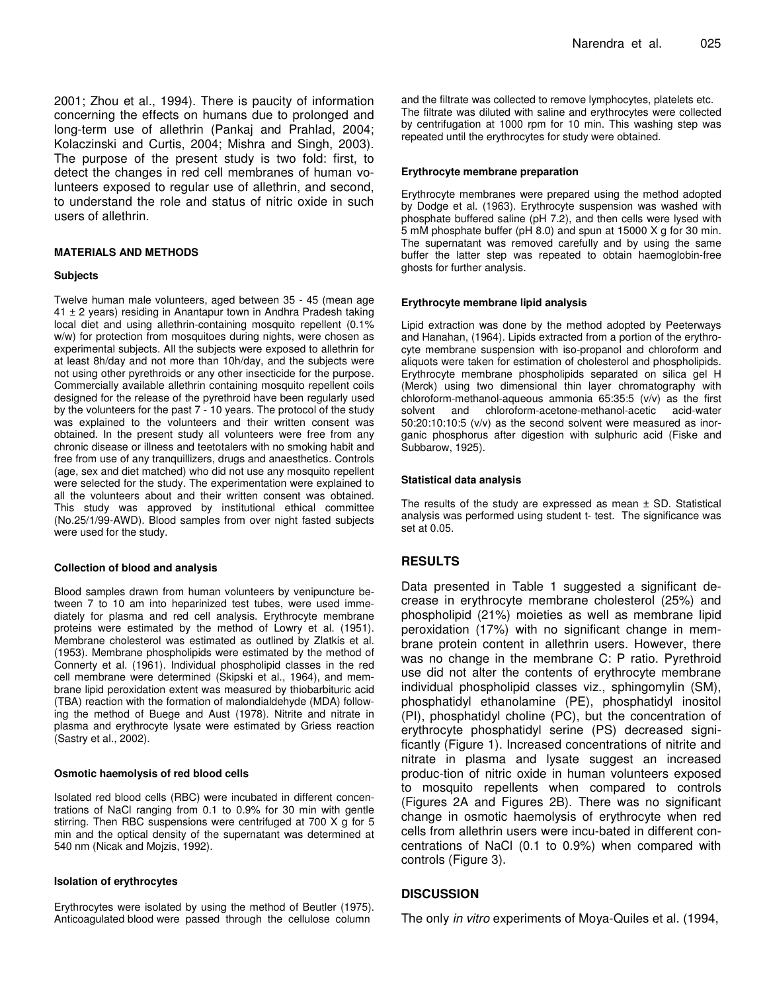2001; Zhou et al., 1994). There is paucity of information concerning the effects on humans due to prolonged and long-term use of allethrin (Pankaj and Prahlad, 2004; Kolaczinski and Curtis, 2004; Mishra and Singh, 2003). The purpose of the present study is two fold: first, to detect the changes in red cell membranes of human volunteers exposed to regular use of allethrin, and second, to understand the role and status of nitric oxide in such users of allethrin.

#### **MATERIALS AND METHODS**

#### **Subjects**

Twelve human male volunteers, aged between 35 - 45 (mean age  $41 \pm 2$  years) residing in Anantapur town in Andhra Pradesh taking local diet and using allethrin-containing mosquito repellent (0.1% w/w) for protection from mosquitoes during nights, were chosen as experimental subjects. All the subjects were exposed to allethrin for at least 8h/day and not more than 10h/day, and the subjects were not using other pyrethroids or any other insecticide for the purpose. Commercially available allethrin containing mosquito repellent coils designed for the release of the pyrethroid have been regularly used by the volunteers for the past 7 - 10 years. The protocol of the study was explained to the volunteers and their written consent was obtained. In the present study all volunteers were free from any chronic disease or illness and teetotalers with no smoking habit and free from use of any tranquillizers, drugs and anaesthetics. Controls (age, sex and diet matched) who did not use any mosquito repellent were selected for the study. The experimentation were explained to all the volunteers about and their written consent was obtained. This study was approved by institutional ethical committee (No.25/1/99-AWD). Blood samples from over night fasted subjects were used for the study.

#### **Collection of blood and analysis**

Blood samples drawn from human volunteers by venipuncture between 7 to 10 am into heparinized test tubes, were used immediately for plasma and red cell analysis. Erythrocyte membrane proteins were estimated by the method of Lowry et al. (1951). Membrane cholesterol was estimated as outlined by Zlatkis et al. (1953). Membrane phospholipids were estimated by the method of Connerty et al. (1961). Individual phospholipid classes in the red cell membrane were determined (Skipski et al., 1964), and membrane lipid peroxidation extent was measured by thiobarbituric acid (TBA) reaction with the formation of malondialdehyde (MDA) following the method of Buege and Aust (1978). Nitrite and nitrate in plasma and erythrocyte lysate were estimated by Griess reaction (Sastry et al., 2002).

#### **Osmotic haemolysis of red blood cells**

Isolated red blood cells (RBC) were incubated in different concentrations of NaCl ranging from 0.1 to 0.9% for 30 min with gentle stirring. Then RBC suspensions were centrifuged at 700 X g for 5 min and the optical density of the supernatant was determined at 540 nm (Nicak and Mojzis, 1992).

#### **Isolation of erythrocytes**

Erythrocytes were isolated by using the method of Beutler (1975). Anticoagulated blood were passed through the cellulose column

and the filtrate was collected to remove lymphocytes, platelets etc. The filtrate was diluted with saline and erythrocytes were collected by centrifugation at 1000 rpm for 10 min. This washing step was repeated until the erythrocytes for study were obtained.

#### **Erythrocyte membrane preparation**

Erythrocyte membranes were prepared using the method adopted by Dodge et al. (1963). Erythrocyte suspension was washed with phosphate buffered saline (pH 7.2), and then cells were lysed with 5 mM phosphate buffer (pH 8.0) and spun at 15000 X g for 30 min. The supernatant was removed carefully and by using the same buffer the latter step was repeated to obtain haemoglobin-free ghosts for further analysis.

#### **Erythrocyte membrane lipid analysis**

Lipid extraction was done by the method adopted by Peeterways and Hanahan, (1964). Lipids extracted from a portion of the erythrocyte membrane suspension with iso-propanol and chloroform and aliquots were taken for estimation of cholesterol and phospholipids. Erythrocyte membrane phospholipids separated on silica gel H (Merck) using two dimensional thin layer chromatography with chloroform-methanol-aqueous ammonia 65:35:5 (v/v) as the first solvent and chloroform-acetone-methanol-acetic acid-water 50:20:10:10:5 (v/v) as the second solvent were measured as inorganic phosphorus after digestion with sulphuric acid (Fiske and Subbarow, 1925).

#### **Statistical data analysis**

The results of the study are expressed as mean  $\pm$  SD. Statistical analysis was performed using student t- test. The significance was set at 0.05.

# **RESULTS**

Data presented in Table 1 suggested a significant decrease in erythrocyte membrane cholesterol (25%) and phospholipid (21%) moieties as well as membrane lipid peroxidation (17%) with no significant change in membrane protein content in allethrin users. However, there was no change in the membrane C: P ratio. Pyrethroid use did not alter the contents of erythrocyte membrane individual phospholipid classes viz., sphingomylin (SM), phosphatidyl ethanolamine (PE), phosphatidyl inositol (PI), phosphatidyl choline (PC), but the concentration of erythrocyte phosphatidyl serine (PS) decreased significantly (Figure 1). Increased concentrations of nitrite and nitrate in plasma and lysate suggest an increased produc-tion of nitric oxide in human volunteers exposed to mosquito repellents when compared to controls (Figures 2A and Figures 2B). There was no significant change in osmotic haemolysis of erythrocyte when red cells from allethrin users were incu-bated in different concentrations of NaCl (0.1 to 0.9%) when compared with controls (Figure 3).

# **DISCUSSION**

The only *in vitro* experiments of Moya-Quiles et al. (1994,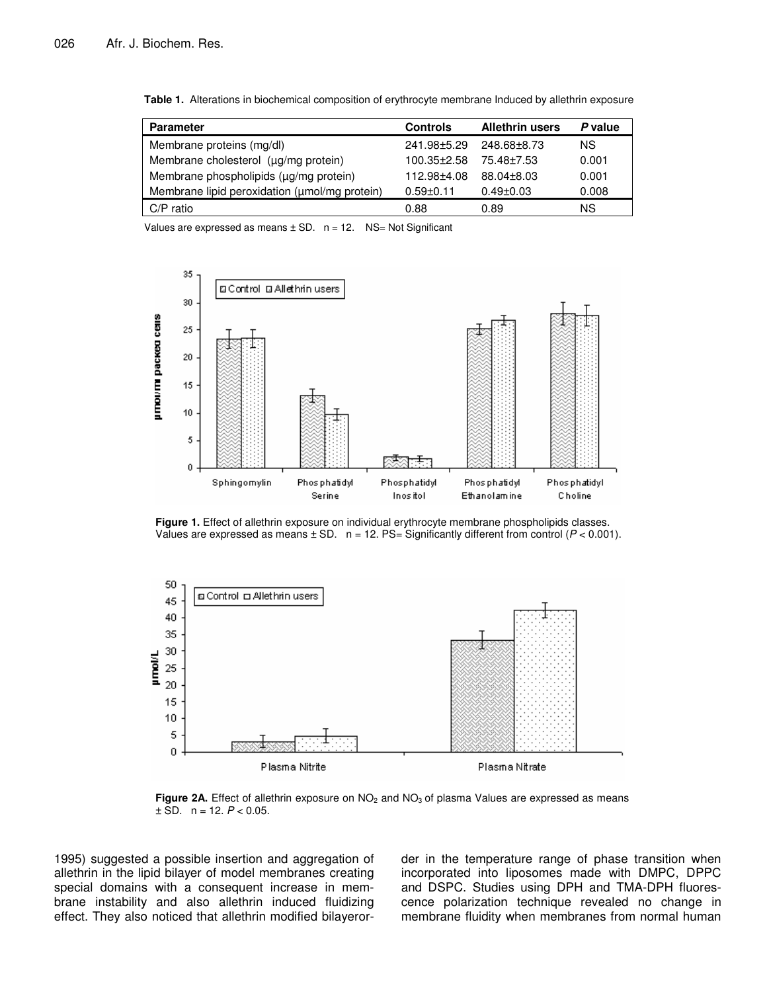| <b>Parameter</b>                              | <b>Controls</b>   | <b>Allethrin users</b> | P value |
|-----------------------------------------------|-------------------|------------------------|---------|
| Membrane proteins (mg/dl)                     | 241.98±5.29       | 248.68±8.73            | NS.     |
| Membrane cholesterol (µg/mg protein)          | $100.35 \pm 2.58$ | 75.48+7.53             | 0.001   |
| Membrane phospholipids (µg/mg protein)        | 112.98±4.08       | 88.04+8.03             | 0.001   |
| Membrane lipid peroxidation (umol/mg protein) | $0.59 \pm 0.11$   | $0.49 \pm 0.03$        | 0.008   |
| $C/P$ ratio                                   | 0.88              | 0.89                   | ΝS      |

**Table 1.** Alterations in biochemical composition of erythrocyte membrane Induced by allethrin exposure

Values are expressed as means  $\pm$  SD.  $n = 12$ . NS= Not Significant



**Figure 1.** Effect of allethrin exposure on individual erythrocyte membrane phospholipids classes. Values are expressed as means  $\pm$  SD.  $n = 12$ . PS= Significantly different from control ( $P < 0.001$ ).



Figure 2A. Effect of allethrin exposure on NO<sub>2</sub> and NO<sub>3</sub> of plasma Values are expressed as means  $\pm$  SD. n = 12.  $P < 0.05$ .

1995) suggested a possible insertion and aggregation of allethrin in the lipid bilayer of model membranes creating special domains with a consequent increase in membrane instability and also allethrin induced fluidizing effect. They also noticed that allethrin modified bilayerorder in the temperature range of phase transition when incorporated into liposomes made with DMPC, DPPC and DSPC. Studies using DPH and TMA-DPH fluorescence polarization technique revealed no change in membrane fluidity when membranes from normal human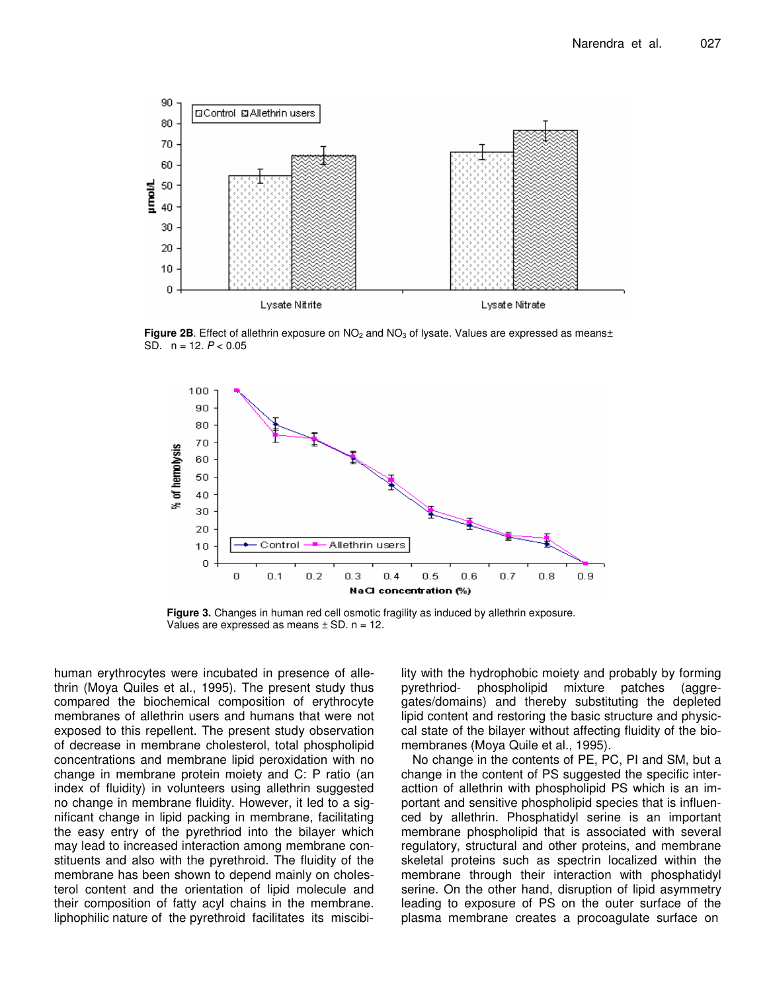

**Figure 2B.** Effect of allethrin exposure on NO<sub>2</sub> and NO<sub>3</sub> of lysate. Values are expressed as means± SD. n = 12. *P* < 0.05



**Figure 3.** Changes in human red cell osmotic fragility as induced by allethrin exposure. Values are expressed as means  $\pm$  SD.  $n = 12$ .

human erythrocytes were incubated in presence of allethrin (Moya Quiles et al., 1995). The present study thus compared the biochemical composition of erythrocyte membranes of allethrin users and humans that were not exposed to this repellent. The present study observation of decrease in membrane cholesterol, total phospholipid concentrations and membrane lipid peroxidation with no change in membrane protein moiety and C: P ratio (an index of fluidity) in volunteers using allethrin suggested no change in membrane fluidity. However, it led to a significant change in lipid packing in membrane, facilitating the easy entry of the pyrethriod into the bilayer which may lead to increased interaction among membrane constituents and also with the pyrethroid. The fluidity of the membrane has been shown to depend mainly on cholesterol content and the orientation of lipid molecule and their composition of fatty acyl chains in the membrane. liphophilic nature of the pyrethroid facilitates its miscibi-

lity with the hydrophobic moiety and probably by forming pyrethriod- phospholipid mixture patches (aggregates/domains) and thereby substituting the depleted lipid content and restoring the basic structure and physiccal state of the bilayer without affecting fluidity of the biomembranes (Moya Quile et al., 1995).

No change in the contents of PE, PC, PI and SM, but a change in the content of PS suggested the specific interacttion of allethrin with phospholipid PS which is an important and sensitive phospholipid species that is influenced by allethrin. Phosphatidyl serine is an important membrane phospholipid that is associated with several regulatory, structural and other proteins, and membrane skeletal proteins such as spectrin localized within the membrane through their interaction with phosphatidyl serine. On the other hand, disruption of lipid asymmetry leading to exposure of PS on the outer surface of the plasma membrane creates a procoagulate surface on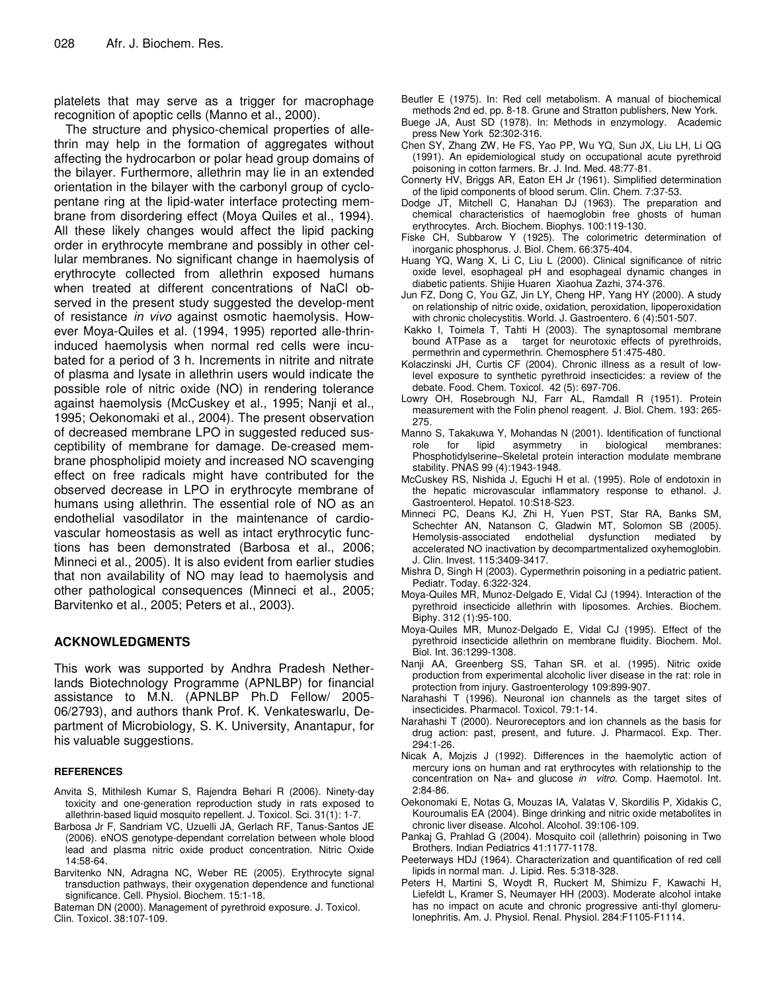platelets that may serve as a trigger for macrophage recognition of apoptic cells (Manno et al., 2000).

The structure and physico-chemical properties of allethrin may help in the formation of aggregates without affecting the hydrocarbon or polar head group domains of the bilayer. Furthermore, allethrin may lie in an extended orientation in the bilayer with the carbonyl group of cyclopentane ring at the lipid-water interface protecting membrane from disordering effect (Moya Quiles et al., 1994). All these likely changes would affect the lipid packing order in erythrocyte membrane and possibly in other cellular membranes. No significant change in haemolysis of erythrocyte collected from allethrin exposed humans when treated at different concentrations of NaCl observed in the present study suggested the develop-ment of resistance *in vivo* against osmotic haemolysis. However Moya-Quiles et al. (1994, 1995) reported alle-thrininduced haemolysis when normal red cells were incubated for a period of 3 h. Increments in nitrite and nitrate of plasma and lysate in allethrin users would indicate the possible role of nitric oxide (NO) in rendering tolerance against haemolysis (McCuskey et al., 1995; Nanji et al., 1995; Oekonomaki et al., 2004). The present observation of decreased membrane LPO in suggested reduced susceptibility of membrane for damage. De-creased membrane phospholipid moiety and increased NO scavenging effect on free radicals might have contributed for the observed decrease in LPO in erythrocyte membrane of humans using allethrin. The essential role of NO as an endothelial vasodilator in the maintenance of cardiovascular homeostasis as well as intact erythrocytic functions has been demonstrated (Barbosa et al., 2006; Minneci et al., 2005). It is also evident from earlier studies that non availability of NO may lead to haemolysis and other pathological consequences (Minneci et al., 2005; Barvitenko et al., 2005; Peters et al., 2003).

# **ACKNOWLEDGMENTS**

This work was supported by Andhra Pradesh Netherlands Biotechnology Programme (APNLBP) for financial assistance to M.N. (APNLBP Ph.D Fellow/ 2005- 06/2793), and authors thank Prof. K. Venkateswarlu, Department of Microbiology, S. K. University, Anantapur, for his valuable suggestions.

#### **REFERENCES**

- Anvita S, Mithilesh Kumar S, Rajendra Behari R (2006). Ninety-day toxicity and one-generation reproduction study in rats exposed to allethrin-based liquid mosquito repellent. J. Toxicol. Sci. 31(1): 1-7.
- Barbosa Jr F, Sandriam VC, Uzuelli JA, Gerlach RF, Tanus-Santos JE (2006). eNOS genotype-dependant correlation between whole blood lead and plasma nitric oxide product concentration. Nitric Oxide 14:58-64.
- Barvitenko NN, Adragna NC, Weber RE (2005). Erythrocyte signal transduction pathways, their oxygenation dependence and functional significance. Cell. Physiol. Biochem. 15:1-18.

Bateman DN (2000). Management of pyrethroid exposure. J. Toxicol. Clin. Toxicol. 38:107-109.

Beutler E (1975). In: Red cell metabolism. A manual of biochemical methods 2nd ed. pp. 8-18. Grune and Stratton publishers, New York.

- Buege JA, Aust SD (1978). In: Methods in enzymology. Academic press New York 52:302-316.
- Chen SY, Zhang ZW, He FS, Yao PP, Wu YQ, Sun JX, Liu LH, Li QG (1991). An epidemiological study on occupational acute pyrethroid poisoning in cotton farmers. Br. J. Ind. Med. 48:77-81.
- Connerty HV, Briggs AR, Eaton EH Jr (1961). Simplified determination of the lipid components of blood serum. Clin. Chem. 7:37-53.
- Dodge JT, Mitchell C, Hanahan DJ (1963). The preparation and chemical characteristics of haemoglobin free ghosts of human erythrocytes. Arch. Biochem. Biophys. 100:119-130.
- Fiske CH, Subbarow Y (1925). The colorimetric determination of inorganic phosphorus. J. Biol. Chem. 66:375-404.
- Huang YQ, Wang X, Li C, Liu L (2000). Clinical significance of nitric oxide level, esophageal pH and esophageal dynamic changes in diabetic patients. Shijie Huaren Xiaohua Zazhi, 374-376.
- Jun FZ, Dong C, You GZ, Jin LY, Cheng HP, Yang HY (2000). A study on relationship of nitric oxide, oxidation, peroxidation, lipoperoxidation with chronic cholecystitis. World. J. Gastroentero. 6 (4):501-507.
- Kakko I, Toimela T, Tahti H (2003). The synaptosomal membrane bound ATPase as a target for neurotoxic effects of pyrethroids, permethrin and cypermethrin. Chemosphere 51:475-480.
- Kolaczinski JH, Curtis CF (2004). Chronic illness as a result of lowlevel exposure to synthetic pyrethroid insecticides: a review of the debate. Food. Chem. Toxicol. 42 (5): 697-706.
- Lowry OH, Rosebrough NJ, Farr AL, Ramdall R (1951). Protein measurement with the Folin phenol reagent. J. Biol. Chem. 193: 265- 275.
- Manno S, Takakuwa Y, Mohandas N (2001). Identification of functional role for lipid asymmetry in biological membranes: Phosphotidylserine–Skeletal protein interaction modulate membrane stability. PNAS 99 (4):1943-1948.
- McCuskey RS, Nishida J, Eguchi H et al. (1995). Role of endotoxin in the hepatic microvascular inflammatory response to ethanol. J. Gastroenterol. Hepatol. 10:S18-S23.
- Minneci PC, Deans KJ, Zhi H, Yuen PST, Star RA, Banks SM, Schechter AN, Natanson C, Gladwin MT, Solomon SB (2005). Hemolysis-associated endothelial dysfunction mediated by accelerated NO inactivation by decompartmentalized oxyhemoglobin. J. Clin. Invest. 115:3409-3417.
- Mishra D, Singh H (2003). Cypermethrin poisoning in a pediatric patient. Pediatr. Today. 6:322-324.
- Moya-Quiles MR, Munoz-Delgado E, Vidal CJ (1994). Interaction of the pyrethroid insecticide allethrin with liposomes. Archies. Biochem. Biphy. 312 (1):95-100.
- Moya-Quiles MR, Munoz-Delgado E, Vidal CJ (1995). Effect of the pyrethroid insecticide allethrin on membrane fluidity. Biochem. Mol. Biol. Int. 36:1299-1308.
- Nanji AA, Greenberg SS, Tahan SR. et al. (1995). Nitric oxide production from experimental alcoholic liver disease in the rat: role in protection from injury. Gastroenterology 109:899-907.
- Narahashi T (1996). Neuronal ion channels as the target sites of insecticides. Pharmacol. Toxicol. 79:1-14.
- Narahashi T (2000). Neuroreceptors and ion channels as the basis for drug action: past, present, and future. J. Pharmacol. Exp. Ther. 294:1-26.
- Nicak A, Mojzis J (1992). Differences in the haemolytic action of mercury ions on human and rat erythrocytes with relationship to the concentration on Na+ and glucose *in vitro*. Comp. Haemotol. Int. 2:84-86.
- Oekonomaki E, Notas G, Mouzas IA, Valatas V, Skordilis P, Xidakis C, Kouroumalis EA (2004). Binge drinking and nitric oxide metabolites in chronic liver disease. Alcohol. Alcohol. 39:106-109.
- Pankaj G, Prahlad G (2004). Mosquito coil (allethrin) poisoning in Two Brothers. Indian Pediatrics 41:1177-1178.
- Peeterways HDJ (1964). Characterization and quantification of red cell lipids in normal man. J. Lipid. Res. 5:318-328.
- Peters H, Martini S, Woydt R, Ruckert M, Shimizu F, Kawachi H, Liefeldt L, Kramer S, Neumayer HH (2003). Moderate alcohol intake has no impact on acute and chronic progressive anti-thyl glomerulonephritis. Am. J. Physiol. Renal. Physiol. 284:F1105-F1114.